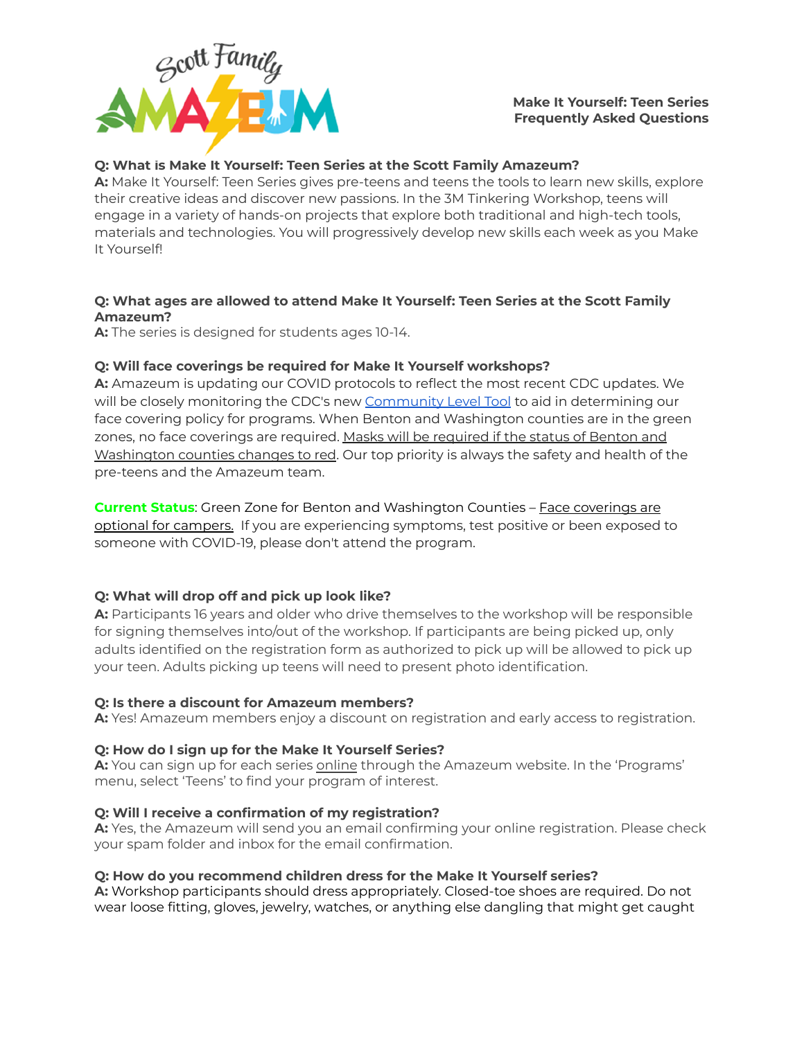

### **Make It Yourself: Teen Series Frequently Asked Questions**

### **Q: What is Make It Yourself: Teen Series at the Scott Family Amazeum?**

**A:** Make It Yourself: Teen Series gives pre-teens and teens the tools to learn new skills, explore their creative ideas and discover new passions. In the 3M Tinkering Workshop, teens will engage in a variety of hands-on projects that explore both traditional and high-tech tools, materials and technologies. You will progressively develop new skills each week as you Make It Yourself!

### **Q: What ages are allowed to attend Make It Yourself: Teen Series at the Scott Family Amazeum?**

**A:** The series is designed for students ages 10-14.

#### **Q: Will face coverings be required for Make It Yourself workshops?**

**A:** Amazeum is updating our COVID protocols to reflect the most recent CDC updates. We will be closely monitoring the CDC's new [Community](https://www.cdc.gov/coronavirus/2019-ncov/your-health/covid-by-county.html) Level Tool to aid in determining our face covering policy for programs. When Benton and Washington counties are in the green zones, no face coverings are required. Masks will be required if the status of Benton and Washington counties changes to red. Our top priority is always the safety and health of the pre-teens and the Amazeum team.

**Current Status:** Green Zone for Benton and Washington Counties – Face coverings are optional for campers. If you are experiencing symptoms, test positive or been exposed to someone with COVID-19, please don't attend the program.

#### **Q: What will drop off and pick up look like?**

**A:** Participants 16 years and older who drive themselves to the workshop will be responsible for signing themselves into/out of the workshop. If participants are being picked up, only adults identified on the registration form as authorized to pick up will be allowed to pick up your teen. Adults picking up teens will need to present photo identification.

#### **Q: Is there a discount for Amazeum members?**

**A:** Yes! Amazeum members enjoy a discount on registration and early access to registration.

#### **Q: How do I sign up for the Make It Yourself Series?**

**A:** You can sign up for each series [online](https://www.amazeum.org/programs/homeschool/) through the Amazeum website. In the 'Programs' menu, select 'Teens' to find your program of interest.

#### **Q: Will I receive a confirmation of my registration?**

**A:** Yes, the Amazeum will send you an email confirming your online registration. Please check your spam folder and inbox for the email confirmation.

#### **Q: How do you recommend children dress for the Make It Yourself series?**

**A:** Workshop participants should dress appropriately. Closed-toe shoes are required. Do not wear loose fitting, gloves, jewelry, watches, or anything else dangling that might get caught